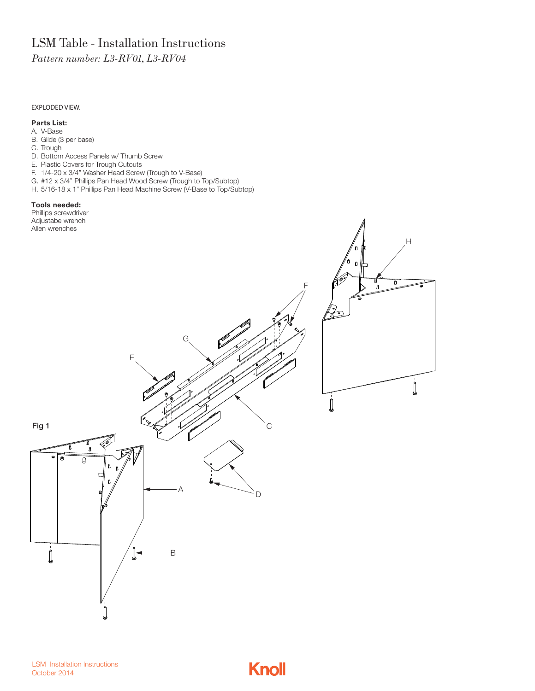# LSM Table - Installation Instructions

*Pattern number: L3-RV01, L3-RV04*

#### EXPLODED VIEW.

#### **Parts List:**

- A. V-Base
- B. Glide (3 per base)
- C. Trough
- D. Bottom Access Panels w/ Thumb Screw
- E. Plastic Covers for Trough Cutouts
- F. 1/4-20 x 3/4" Washer Head Screw (Trough to V-Base)
- G. #12 x 3/4" Phillips Pan Head Wood Screw (Trough to Top/Subtop)
- H. 5/16-18 x 1" Phillips Pan Head Machine Screw (V-Base to Top/Subtop)

#### **Tools needed:**

Phillips screwdriver Adjustabe wrench



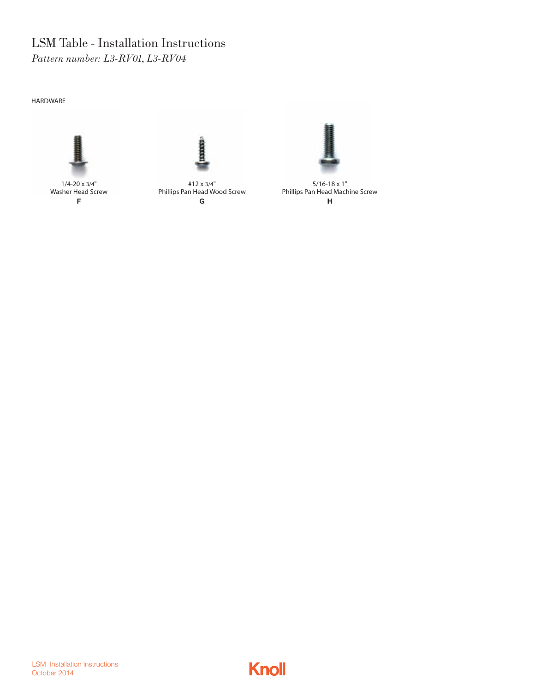HARDWARE





Washer Head Screw F

#12 x 3/4" Phillips Pan Head Wood Screw G



5/16-18 x 1" Phillips Pan Head Machine Screw H

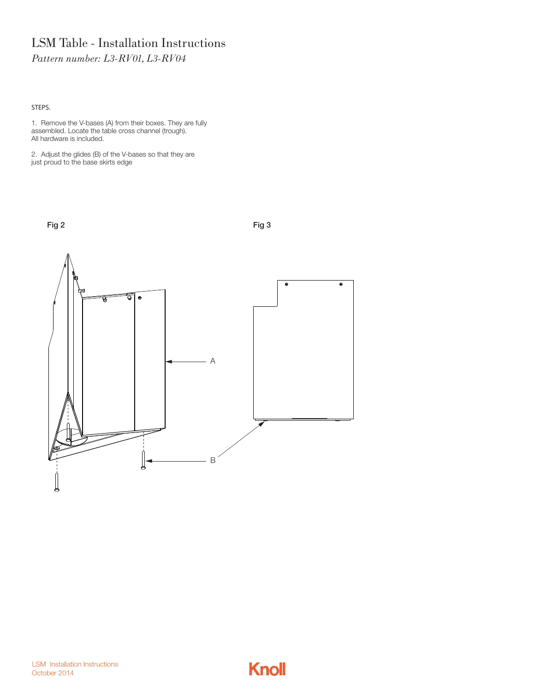STEPS.

1. Remove the V-bases (A) from their boxes. They are fully assembled. Locate the table cross channel (trough). All hardware is included.

Fig 2 Fig 3

2. Adjust the glides (B) of the V-bases so that they are just proud to the base skirts edge



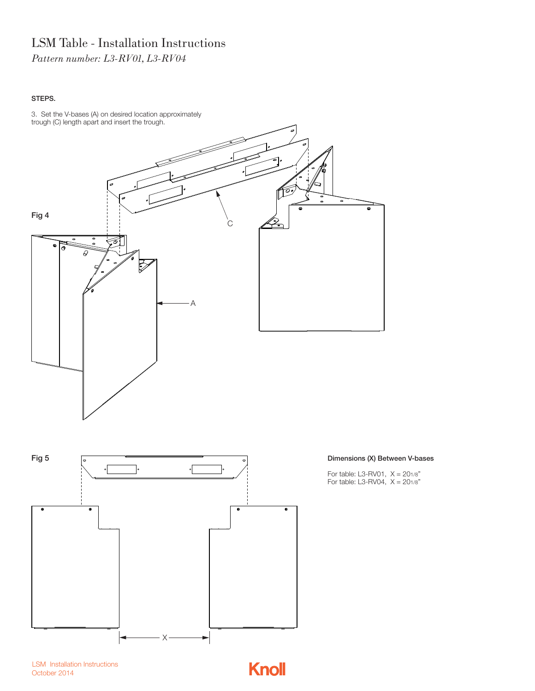STEPS.





### Dimensions (X) Between V-bases

For table: L3-RV01, X = 201/8" For table: L3-RV04,  $X = 201/8"$ 

LSM Installation Instructions October 2014

**Knoll**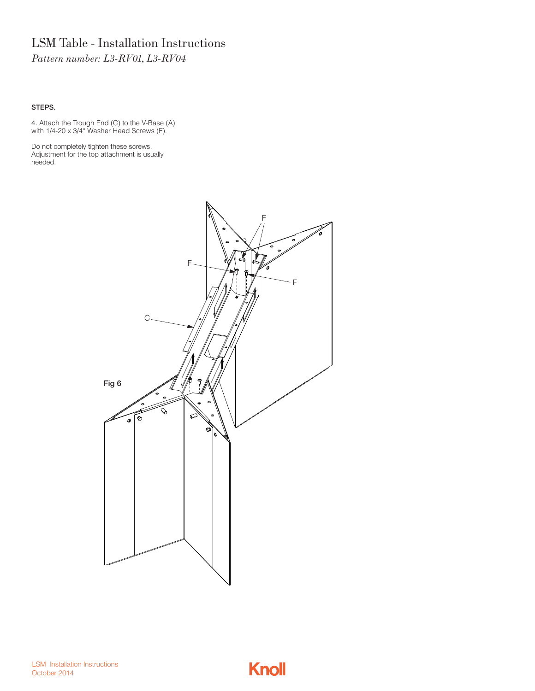### STEPS.

4. Attach the Trough End (C) to the V-Base (A) with 1/4-20 x 3/4" Washer Head Screws (F).

Do not completely tighten these screws. Adjustment for the top attachment is usually needed.



LSM Installation Instructions October 2014

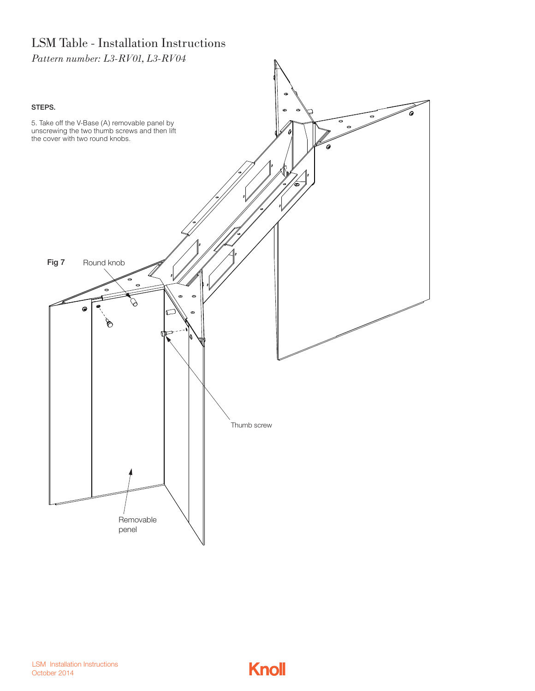

LSM Installation Instructions October 2014

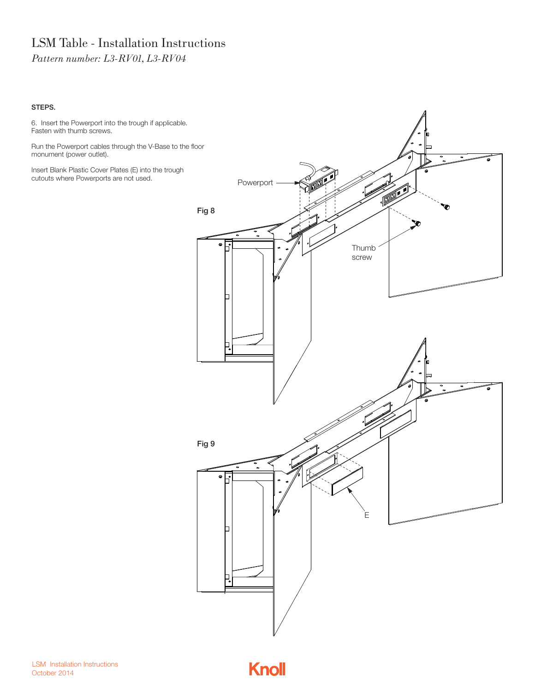### STEPS.

6. Insert the Powerport into the trough if applicable. Fasten with thumb screws.

Run the Powerport cables through the V-Base to the floor monument (power outlet).

Insert Blank Plastic Cover Plates (E) into the trough cutouts where Powerports are not used.



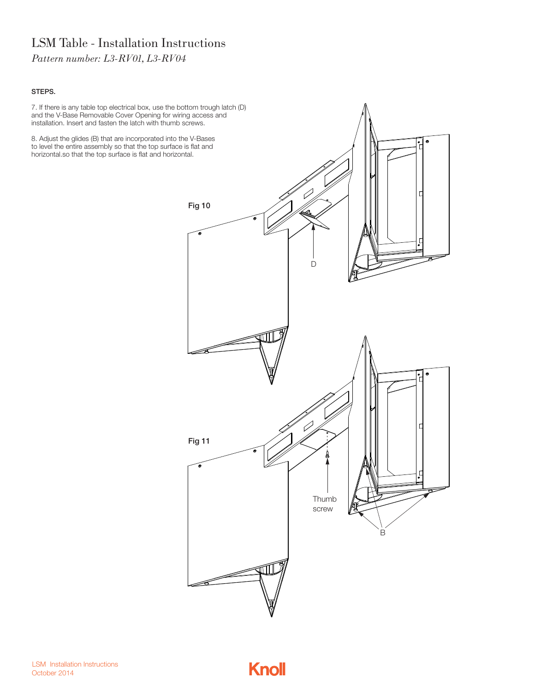#### STEPS.

7. If there is any table top electrical box, use the bottom trough latch (D) and the V-Base Removable Cover Opening for wiring access and installation. Insert and fasten the latch with thumb screws.

8. Adjust the glides (B) that are incorporated into the V-Bases to level the entire assembly so that the top surface is flat and horizontal.so that the top surface is flat and horizontal.



LSM Installation Instructions October 2014